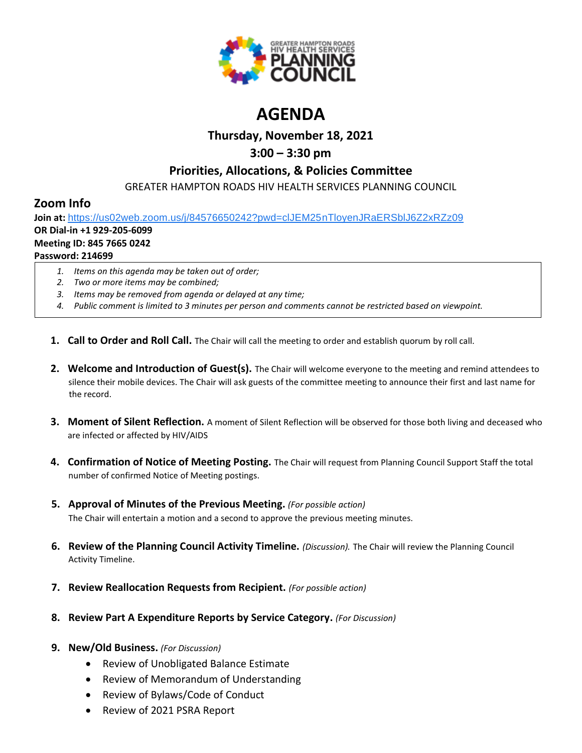

# **AGENDA**

### **Thursday, November 18, 2021**

### **3:00 – 3:30 pm**

### **Priorities, Allocations, & Policies Committee**

GREATER HAMPTON ROADS HIV HEALTH SERVICES PLANNING COUNCIL

### **Zoom Info**

**Join at:** [https://us02web.zoom.us/j/84576650242?pwd=clJEM25nTloyenJRaERSblJ6Z2xRZz09](https://www.google.com/url?q=https://us02web.zoom.us/j/84576650242?pwd%3DclJEM25nTloyenJRaERSblJ6Z2xRZz09&sa=D&source=calendar&ust=1616595038982000&usg=AOvVaw3sK6cNtpF8kGuryyzK0Ew9)

## **OR Dial-in +1 929-205-6099**

#### **Meeting ID: 845 7665 0242**

#### **Password: 214699**

- *1. Items on this agenda may be taken out of order;*
- *2. Two or more items may be combined;*
- *3. Items may be removed from agenda or delayed at any time;*
- *4. Public comment is limited to 3 minutes per person and comments cannot be restricted based on viewpoint.*
- **1. Call to Order and Roll Call.** The Chair will call the meeting to order and establish quorum by roll call.
- **2. Welcome and Introduction of Guest(s).** The Chair will welcome everyone to the meeting and remind attendees to silence their mobile devices. The Chair will ask guests of the committee meeting to announce their first and last name for the record.
- **3. Moment of Silent Reflection.** A moment of Silent Reflection will be observed for those both living and deceased who are infected or affected by HIV/AIDS
- **4. Confirmation of Notice of Meeting Posting.** The Chair will request from Planning Council Support Staff the total number of confirmed Notice of Meeting postings.
- **5. Approval of Minutes of the Previous Meeting.** *(For possible action)* The Chair will entertain a motion and a second to approve the previous meeting minutes.
- **6. Review of the Planning Council Activity Timeline.** *(Discussion).* The Chair will review the Planning Council Activity Timeline.
- **7. Review Reallocation Requests from Recipient.** *(For possible action)*
- **8. Review Part A Expenditure Reports by Service Category.** *(For Discussion)*

### **9. New/Old Business.** *(For Discussion)*

- Review of Unobligated Balance Estimate
- Review of Memorandum of Understanding
- Review of Bylaws/Code of Conduct
- Review of 2021 PSRA Report